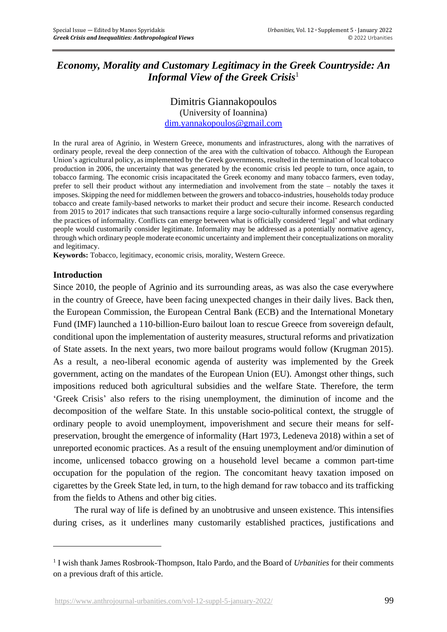# *Economy, Morality and Customary Legitimacy in the Greek Countryside: An Informal View of the Greek Crisis*<sup>1</sup>

### Dimitris Giannakopoulos (University of Ioannina) [dim.yannakopoulos@gmail.com](mailto:dim.yannakopoulos@gmail.com)

In the rural area of Agrinio, in Western Greece, monuments and infrastructures, along with the narratives of ordinary people, reveal the deep connection of the area with the cultivation of tobacco. Although the European Union's agricultural policy, as implemented by the Greek governments, resulted in the termination of local tobacco production in 2006, the uncertainty that was generated by the economic crisis led people to turn, once again, to tobacco farming. The economic crisis incapacitated the Greek economy and many tobacco farmers, even today, prefer to sell their product without any intermediation and involvement from the state – notably the taxes it imposes. Skipping the need for middlemen between the growers and tobacco-industries, households today produce tobacco and create family-based networks to market their product and secure their income. Research conducted from 2015 to 2017 indicates that such transactions require a large socio-culturally informed consensus regarding the practices of informality. Conflicts can emerge between what is officially considered 'legal' and what ordinary people would customarily consider legitimate. Informality may be addressed as a potentially normative agency, through which ordinary people moderate economic uncertainty and implement their conceptualizations on morality and legitimacy.

**Keywords:** Tobacco, legitimacy, economic crisis, morality, Western Greece.

## **Introduction**

Since 2010, the people of Agrinio and its surrounding areas, as was also the case everywhere in the country of Greece, have been facing unexpected changes in their daily lives. Back then, the European Commission, the European Central Bank (ECB) and the International Monetary Fund (IMF) launched a 110-billion-Euro bailout loan to rescue Greece from sovereign default, conditional upon the implementation of austerity measures, structural reforms and privatization of State assets. In the next years, two more bailout programs would follow (Krugman 2015). As a result, a neo-liberal economic agenda of austerity was implemented by the Greek government, acting on the mandates of the European Union (EU). Amongst other things, such impositions reduced both agricultural subsidies and the welfare State. Therefore, the term 'Greek Crisis' also refers to the rising unemployment, the diminution of income and the decomposition of the welfare State. In this unstable socio-political context, the struggle of ordinary people to avoid unemployment, impoverishment and secure their means for selfpreservation, brought the emergence of informality (Hart 1973, Ledeneva 2018) within a set of unreported economic practices. As a result of the ensuing unemployment and/or diminution of income, unlicensed tobacco growing on a household level became a common part-time occupation for the population of the region. The concomitant heavy taxation imposed on cigarettes by the Greek State led, in turn, to the high demand for raw tobacco and its trafficking from the fields to Athens and other big cities.

The rural way of life is defined by an unobtrusive and unseen existence. This intensifies during crises, as it underlines many customarily established practices, justifications and

<sup>&</sup>lt;sup>1</sup> I wish thank James Rosbrook-Thompson, Italo Pardo, and the Board of *Urbanities* for their comments on a previous draft of this article.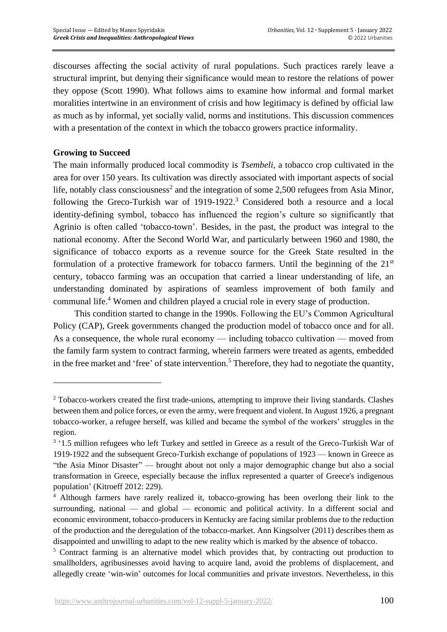discourses affecting the social activity of rural populations. Such practices rarely leave a structural imprint, but denying their significance would mean to restore the relations of power they oppose (Scott 1990). What follows aims to examine how informal and formal market moralities intertwine in an environment of crisis and how legitimacy is defined by official law as much as by informal, yet socially valid, norms and institutions. This discussion commences with a presentation of the context in which the tobacco growers practice informality.

## **Growing to Succeed**

The main informally produced local commodity is *Tsembeli*, a tobacco crop cultivated in the area for over 150 years. Its cultivation was directly associated with important aspects of social life, notably class consciousness<sup>2</sup> and the integration of some 2,500 refugees from Asia Minor, following the Greco-Turkish war of 1919-1922. <sup>3</sup> Considered both a resource and a local identity-defining symbol, tobacco has influenced the region's culture so significantly that Agrinio is often called 'tobacco-town'. Besides, in the past, the product was integral to the national economy. After the Second World War, and particularly between 1960 and 1980, the significance of tobacco exports as a revenue source for the Greek State resulted in the formulation of a protective framework for tobacco farmers. Until the beginning of the  $21<sup>st</sup>$ century, tobacco farming was an occupation that carried a linear understanding of life, an understanding dominated by aspirations of seamless improvement of both family and communal life. <sup>4</sup> Women and children played a crucial role in every stage of production.

This condition started to change in the 1990s. Following the EU's Common Agricultural Policy (CAP), Greek governments changed the production model of tobacco once and for all. As a consequence, the whole rural economy — including tobacco cultivation — moved from the family farm system to contract farming, wherein farmers were treated as agents, embedded in the free market and 'free' of state intervention. <sup>5</sup> Therefore, they had to negotiate the quantity,

<sup>&</sup>lt;sup>2</sup> Tobacco-workers created the first trade-unions, attempting to improve their living standards. Clashes between them and police forces, or even the army, were frequent and violent. In Αugust 1926, a pregnant tobacco-worker, a refugee herself, was killed and became the symbol of the workers' struggles in the region.

<sup>&</sup>lt;sup>3</sup> '1.5 million refugees who left Turkey and settled in Greece as a result of the Greco-Turkish War of 1919-1922 and the subsequent Greco-Turkish exchange of populations of 1923 — known in Greece as "the Asia Minor Disaster" — brought about not only a major demographic change but also a social transformation in Greece, especially because the influx represented a quarter of Greece's indigenous population' (Kitroeff 2012: 229).

<sup>4</sup> Although farmers have rarely realized it, tobacco-growing has been overlong their link to the surrounding, national — and global — economic and political activity. In a different social and economic environment, tobacco-producers in Kentucky are facing similar problems due to the reduction of the production and the deregulation of the tobacco-market. Ann Kingsolver (2011) describes them as disappointed and unwilling to adapt to the new reality which is marked by the absence of tobacco.

<sup>&</sup>lt;sup>5</sup> Contract farming is an alternative model which provides that, by contracting out production to smallholders, agribusinesses avoid having to acquire land, avoid the problems of displacement, and allegedly create 'win-win' outcomes for local communities and private investors. Nevertheless, in this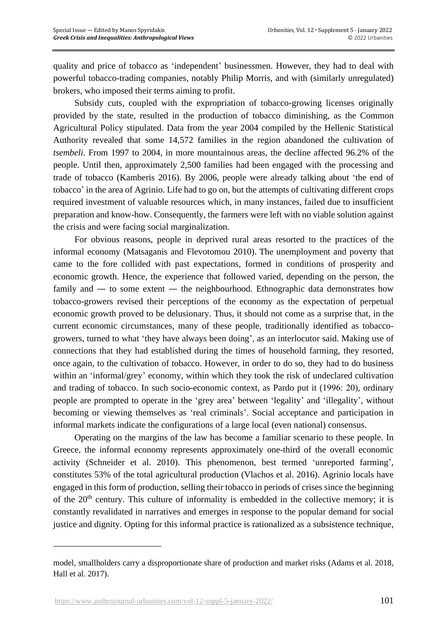quality and price of tobacco as 'independent' businessmen. However, they had to deal with powerful tobacco-trading companies, notably Philip Morris, and with (similarly unregulated) brokers, who imposed their terms aiming to profit.

Subsidy cuts, coupled with the expropriation of tobacco-growing licenses originally provided by the state, resulted in the production of tobacco diminishing, as the Common Agricultural Policy stipulated. Data from the year 2004 compiled by the Hellenic Statistical Authority revealed that some 14,572 families in the region abandoned the cultivation of *tsembeli*. From 1997 to 2004, in more mountainous areas, the decline affected 96.2% of the people. Until then, approximately 2,500 families had been engaged with the processing and trade of tobacco (Kamberis 2016). By 2006, people were already talking about 'the end of tobacco' in the area of Agrinio. Life had to go on, but the attempts of cultivating different crops required investment of valuable resources which, in many instances, failed due to insufficient preparation and know-how. Consequently, the farmers were left with no viable solution against the crisis and were facing social marginalization.

For obvious reasons, people in deprived rural areas resorted to the practices of the informal economy (Matsaganis and Flevotomou 2010). The unemployment and poverty that came to the fore collided with past expectations, formed in conditions of prosperity and economic growth. Hence, the experience that followed varied, depending on the person, the family and — to some extent — the neighbourhood. Ethnographic data demonstrates how tobacco-growers revised their perceptions of the economy as the expectation of perpetual economic growth proved to be delusionary. Thus, it should not come as a surprise that, in the current economic circumstances, many of these people, traditionally identified as tobaccogrowers, turned to what 'they have always been doing', as an interlocutor said. Making use of connections that they had established during the times of household farming, they resorted, once again, to the cultivation of tobacco. However, in order to do so, they had to do business within an 'informal/grey' economy, within which they took the risk of undeclared cultivation and trading of tobacco. In such socio-economic context, as Pardo put it (1996: 20), ordinary people are prompted to operate in the 'grey area' between 'legality' and 'illegality', without becoming or viewing themselves as 'real criminals'. Social acceptance and participation in informal markets indicate the configurations of a large local (even national) consensus.

Operating on the margins of the law has become a familiar scenario to these people. In Greece, the informal economy represents approximately one-third of the overall economic activity (Schneider et al. 2010). This phenomenon, best termed 'unreported farming', constitutes 53% of the total agricultural production (Vlachos et al. 2016). Agrinio locals have engaged in this form of production, selling their tobacco in periods of crises since the beginning of the  $20<sup>th</sup>$  century. This culture of informality is embedded in the collective memory; it is constantly revalidated in narratives and emerges in response to the popular demand for social justice and dignity. Opting for this informal practice is rationalized as a subsistence technique,

model, smallholders carry a disproportionate share of production and market risks (Adams et al. 2018, Hall et al. 2017).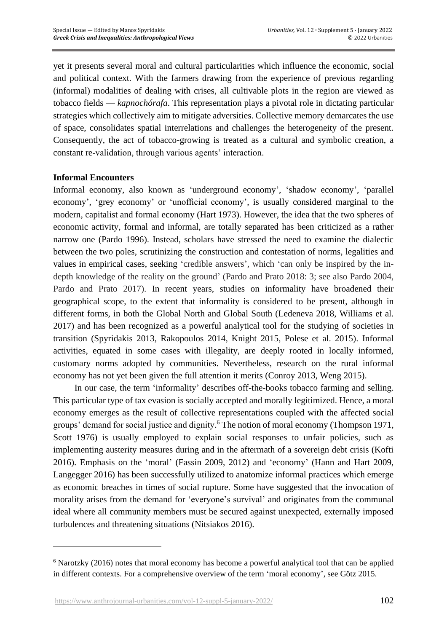yet it presents several moral and cultural particularities which influence the economic, social and political context. With the farmers drawing from the experience of previous regarding (informal) modalities of dealing with crises, all cultivable plots in the region are viewed as tobacco fields — *kapnochórafa*. This representation plays a pivotal role in dictating particular strategies which collectively aim to mitigate adversities. Collective memory demarcates the use of space, consolidates spatial interrelations and challenges the heterogeneity of the present. Consequently, the act of tobacco-growing is treated as a cultural and symbolic creation, a constant re-validation, through various agents' interaction.

#### **Informal Encounters**

Informal economy, also known as 'underground economy', 'shadow economy', 'parallel economy', 'grey economy' or 'unofficial economy', is usually considered marginal to the modern, capitalist and formal economy (Hart 1973). However, the idea that the two spheres of economic activity, formal and informal, are totally separated has been criticized as a rather narrow one (Pardo 1996). Instead, scholars have stressed the need to examine the dialectic between the two poles, scrutinizing the construction and contestation of norms, legalities and values in empirical cases, seeking 'credible answers', which 'can only be inspired by the indepth knowledge of the reality on the ground' (Pardo and Prato 2018: 3; see also Pardo 2004, Pardo and Prato 2017). In recent years, studies on informality have broadened their geographical scope, to the extent that informality is considered to be present, although in different forms, in both the Global North and Global South (Ledeneva 2018, Williams et al. 2017) and has been recognized as a powerful analytical tool for the studying of societies in transition (Spyridakis 2013, Rakopoulos 2014, Knight 2015, Polese et al. 2015). Informal activities, equated in some cases with illegality, are deeply rooted in locally informed, customary norms adopted by communities. Nevertheless, research on the rural informal economy has not yet been given the full attention it merits (Conroy 2013, Weng 2015).

In our case, the term 'informality' describes off-the-books tobacco farming and selling. This particular type of tax evasion is socially accepted and morally legitimized. Hence, a moral economy emerges as the result of collective representations coupled with the affected social groups' demand for social justice and dignity. <sup>6</sup> The notion of moral economy (Thompson 1971, Scott 1976) is usually employed to explain social responses to unfair policies, such as implementing austerity measures during and in the aftermath of a sovereign debt crisis (Kofti 2016). Emphasis on the 'moral' (Fassin 2009, 2012) and 'economy' (Hann and Hart 2009, Langegger 2016) has been successfully utilized to anatomize informal practices which emerge as economic breaches in times of social rupture. Some have suggested that the invocation of morality arises from the demand for 'everyone's survival' and originates from the communal ideal where all community members must be secured against unexpected, externally imposed turbulences and threatening situations (Nitsiakos 2016).

<sup>&</sup>lt;sup>6</sup> Narotzky (2016) notes that moral economy has become a powerful analytical tool that can be applied in different contexts. For a comprehensive overview of the term 'moral economy', see Götz 2015.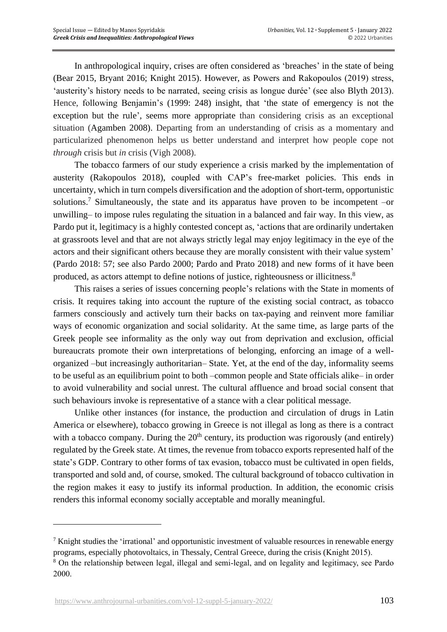In anthropological inquiry, crises are often considered as 'breaches' in the state of being (Bear 2015, Bryant 2016; Knight 2015). However, as Powers and Rakopoulos (2019) stress, 'austerity's history needs to be narrated, seeing crisis as longue durée' (see also Blyth 2013). Hence, following Benjamin's (1999: 248) insight, that 'the state of emergency is not the exception but the rule', seems more appropriate than considering crisis as an exceptional situation (Agamben 2008). Departing from an understanding of crisis as a momentary and particularized phenomenon helps us better understand and interpret how people cope not *through* crisis but *in* crisis (Vigh 2008).

The tobacco farmers of our study experience a crisis marked by the implementation of austerity (Rakopoulos 2018), coupled with CAP's free-market policies. This ends in uncertainty, which in turn compels diversification and the adoption of short-term, opportunistic solutions.<sup>7</sup> Simultaneously, the state and its apparatus have proven to be incompetent -or unwilling– to impose rules regulating the situation in a balanced and fair way. In this view, as Pardo put it, legitimacy is a highly contested concept as, 'actions that are ordinarily undertaken at grassroots level and that are not always strictly legal may enjoy legitimacy in the eye of the actors and their significant others because they are morally consistent with their value system' (Pardo 2018: 57; see also Pardo 2000; Pardo and Prato 2018) and new forms of it have been produced, as actors attempt to define notions of justice, righteousness or illicitness.<sup>8</sup>

This raises a series of issues concerning people's relations with the State in moments of crisis. It requires taking into account the rupture of the existing social contract, as tobacco farmers consciously and actively turn their backs on tax-paying and reinvent more familiar ways of economic organization and social solidarity. At the same time, as large parts of the Greek people see informality as the only way out from deprivation and exclusion, official bureaucrats promote their own interpretations of belonging, enforcing an image of a wellorganized –but increasingly authoritarian– State. Yet, at the end of the day, informality seems to be useful as an equilibrium point to both –common people and State officials alike– in order to avoid vulnerability and social unrest. The cultural affluence and broad social consent that such behaviours invoke is representative of a stance with a clear political message.

Unlike other instances (for instance, the production and circulation of drugs in Latin America or elsewhere), tobacco growing in Greece is not illegal as long as there is a contract with a tobacco company. During the  $20<sup>th</sup>$  century, its production was rigorously (and entirely) regulated by the Greek state. At times, the revenue from tobacco exports represented half of the state's GDP. Contrary to other forms of tax evasion, tobacco must be cultivated in open fields, transported and sold and, of course, smoked. The cultural background of tobacco cultivation in the region makes it easy to justify its informal production. In addition, the economic crisis renders this informal economy socially acceptable and morally meaningful.

<sup>7</sup> Knight studies the 'irrational' and opportunistic investment of valuable resources in renewable energy programs, especially photovoltaics, in Thessaly, Central Greece, during the crisis (Knight 2015).

<sup>8</sup> On the relationship between legal, illegal and semi-legal, and on legality and legitimacy, see Pardo 2000.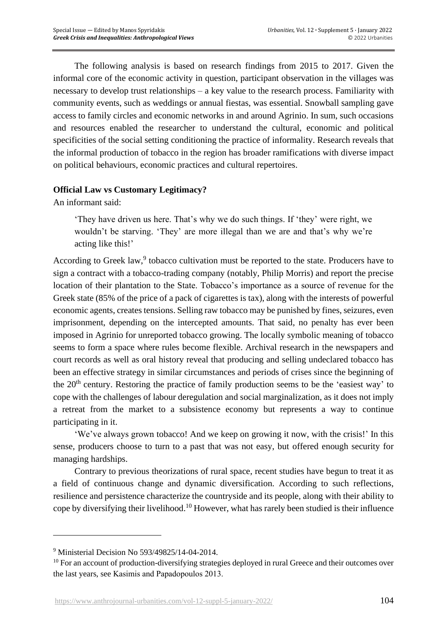The following analysis is based on research findings from 2015 to 2017. Given the informal core of the economic activity in question, participant observation in the villages was necessary to develop trust relationships – a key value to the research process. Familiarity with community events, such as weddings or annual fiestas, was essential. Snowball sampling gave access to family circles and economic networks in and around Agrinio. In sum, such occasions and resources enabled the researcher to understand the cultural, economic and political specificities of the social setting conditioning the practice of informality. Research reveals that the informal production of tobacco in the region has broader ramifications with diverse impact on political behaviours, economic practices and cultural repertoires.

## **Official Law vs Customary Legitimacy?**

An informant said:

'They have driven us here. That's why we do such things. If 'they' were right, we wouldn't be starving. 'They' are more illegal than we are and that's why we're acting like this!'

According to Greek law,<sup>9</sup> tobacco cultivation must be reported to the state. Producers have to sign a contract with a tobacco-trading company (notably, Philip Morris) and report the precise location of their plantation to the State. Tobacco's importance as a source of revenue for the Greek state (85% of the price of a pack of cigarettes is tax), along with the interests of powerful economic agents, creates tensions. Selling raw tobacco may be punished by fines, seizures, even imprisonment, depending on the intercepted amounts. That said, no penalty has ever been imposed in Agrinio for unreported tobacco growing. The locally symbolic meaning of tobacco seems to form a space where rules become flexible. Archival research in the newspapers and court records as well as oral history reveal that producing and selling undeclared tobacco has been an effective strategy in similar circumstances and periods of crises since the beginning of the 20<sup>th</sup> century. Restoring the practice of family production seems to be the 'easiest way' to cope with the challenges of labour deregulation and social marginalization, as it does not imply a retreat from the market to a subsistence economy but represents a way to continue participating in it.

'We've always grown tobacco! And we keep on growing it now, with the crisis!' In this sense, producers choose to turn to a past that was not easy, but offered enough security for managing hardships.

Contrary to previous theorizations of rural space, recent studies have begun to treat it as a field of continuous change and dynamic diversification. According to such reflections, resilience and persistence characterize the countryside and its people, along with their ability to cope by diversifying their livelihood.<sup>10</sup> However, what has rarely been studied is their influence

<sup>9</sup> Ministerial Decision No 593/49825/14-04-2014.

<sup>&</sup>lt;sup>10</sup> For an account of production-diversifying strategies deployed in rural Greece and their outcomes over the last years, see Kasimis and Papadopoulos 2013.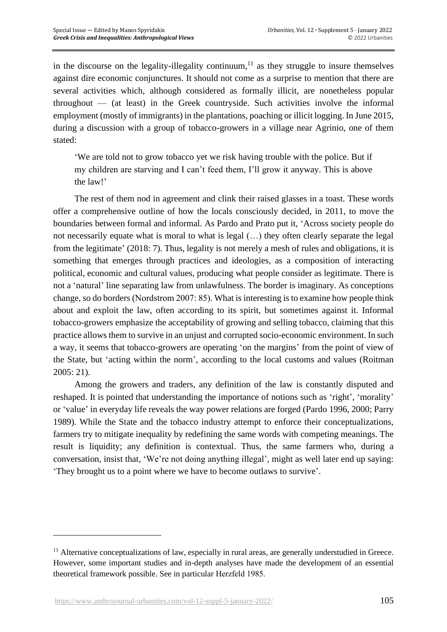in the discourse on the legality-illegality continuum, $11$  as they struggle to insure themselves against dire economic conjunctures. It should not come as a surprise to mention that there are several activities which, although considered as formally illicit, are nonetheless popular throughout — (at least) in the Greek countryside. Such activities involve the informal employment (mostly of immigrants) in the plantations, poaching or illicit logging. In June 2015, during a discussion with a group of tobacco-growers in a village near Agrinio, one of them stated:

'We are told not to grow tobacco yet we risk having trouble with the police. But if my children are starving and I can't feed them, I'll grow it anyway. This is above the law!'

The rest of them nod in agreement and clink their raised glasses in a toast. These words offer a comprehensive outline of how the locals consciously decided, in 2011, to move the boundaries between formal and informal. As Pardo and Prato put it, 'Across society people do not necessarily equate what is moral to what is legal (…) they often clearly separate the legal from the legitimate' (2018: 7). Thus, legality is not merely a mesh of rules and obligations, it is something that emerges through practices and ideologies, as a composition of interacting political, economic and cultural values, producing what people consider as legitimate. There is not a 'natural' line separating law from unlawfulness. The border is imaginary. As conceptions change, so do borders (Nordstrom 2007: 85). What is interesting is to examine how people think about and exploit the law, often according to its spirit, but sometimes against it. Informal tobacco-growers emphasize the acceptability of growing and selling tobacco, claiming that this practice allows them to survive in an unjust and corrupted socio-economic environment. In such a way, it seems that tobacco-growers are operating 'on the margins' from the point of view of the State, but 'acting within the norm', according to the local customs and values (Roitman 2005: 21).

Among the growers and traders, any definition of the law is constantly disputed and reshaped. It is pointed that understanding the importance of notions such as 'right', 'morality' or 'value' in everyday life reveals the way power relations are forged (Pardo 1996, 2000; Parry 1989). While the State and the tobacco industry attempt to enforce their conceptualizations, farmers try to mitigate inequality by redefining the same words with competing meanings. The result is liquidity; any definition is contextual. Thus, the same farmers who, during a conversation, insist that, 'We're not doing anything illegal', might as well later end up saying: 'They brought us to a point where we have to become outlaws to survive'.

<sup>&</sup>lt;sup>11</sup> Alternative conceptualizations of law, especially in rural areas, are generally understudied in Greece. However, some important studies and in-depth analyses have made the development of an essential theoretical framework possible. See in particular Ηerzfeld 1985.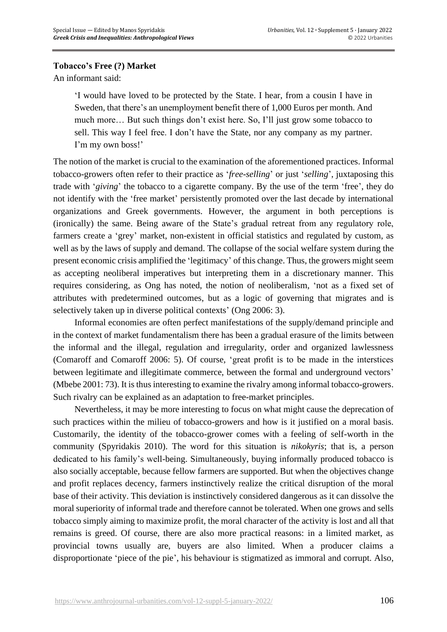## **Tobacco's Free (?) Market**

An informant said:

'I would have loved to be protected by the State. I hear, from a cousin I have in Sweden, that there's an unemployment benefit there of 1,000 Euros per month. And much more… But such things don't exist here. So, I'll just grow some tobacco to sell. This way I feel free. I don't have the State, nor any company as my partner. I'm my own boss!'

The notion of the market is crucial to the examination of the aforementioned practices. Informal tobacco-growers often refer to their practice as '*free-selling*' or just '*selling*', juxtaposing this trade with '*giving*' the tobacco to a cigarette company. By the use of the term 'free', they do not identify with the 'free market' persistently promoted over the last decade by international organizations and Greek governments. However, the argument in both perceptions is (ironically) the same. Being aware of the State's gradual retreat from any regulatory role, farmers create a 'grey' market, non-existent in official statistics and regulated by custom, as well as by the laws of supply and demand. The collapse of the social welfare system during the present economic crisis amplified the 'legitimacy' of this change. Thus, the growers might seem as accepting neoliberal imperatives but interpreting them in a discretionary manner. This requires considering, as Ong has noted, the notion of neoliberalism, 'not as a fixed set of attributes with predetermined outcomes, but as a logic of governing that migrates and is selectively taken up in diverse political contexts' (Ong 2006: 3).

Informal economies are often perfect manifestations of the supply/demand principle and in the context of market fundamentalism there has been a gradual erasure of the limits between the informal and the illegal, regulation and irregularity, order and organized lawlessness (Comaroff and Comaroff 2006: 5). Of course, 'great profit is to be made in the interstices between legitimate and illegitimate commerce, between the formal and underground vectors' (Mbebe 2001: 73). It is thus interesting to examine the rivalry among informal tobacco-growers. Such rivalry can be explained as an adaptation to free-market principles.

Nevertheless, it may be more interesting to focus on what might cause the deprecation of such practices within the milieu of tobacco-growers and how is it justified on a moral basis. Customarily, the identity of the tobacco-grower comes with a feeling of self-worth in the community (Spyridakis 2010). The word for this situation is *nikokyris*; that is, a person dedicated to his family's well-being. Simultaneously, buying informally produced tobacco is also socially acceptable, because fellow farmers are supported. But when the objectives change and profit replaces decency, farmers instinctively realize the critical disruption of the moral base of their activity. This deviation is instinctively considered dangerous as it can dissolve the moral superiority of informal trade and therefore cannot be tolerated. When one grows and sells tobacco simply aiming to maximize profit, the moral character of the activity is lost and all that remains is greed. Of course, there are also more practical reasons: in a limited market, as provincial towns usually are, buyers are also limited. When a producer claims a disproportionate 'piece of the pie', his behaviour is stigmatized as immoral and corrupt. Also,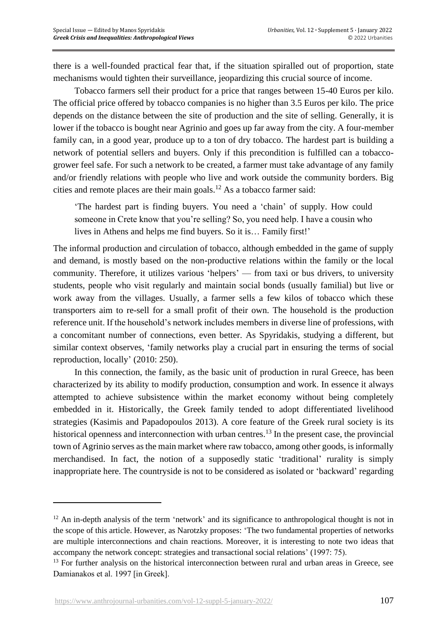there is a well-founded practical fear that, if the situation spiralled out of proportion, state mechanisms would tighten their surveillance, jeopardizing this crucial source of income.

Tobacco farmers sell their product for a price that ranges between 15-40 Euros per kilo. The official price offered by tobacco companies is no higher than 3.5 Euros per kilo. The price depends on the distance between the site of production and the site of selling. Generally, it is lower if the tobacco is bought near Agrinio and goes up far away from the city. A four-member family can, in a good year, produce up to a ton of dry tobacco. The hardest part is building a network of potential sellers and buyers. Only if this precondition is fulfilled can a tobaccogrower feel safe. For such a network to be created, a farmer must take advantage of any family and/or friendly relations with people who live and work outside the community borders. Big cities and remote places are their main goals. <sup>12</sup> As a tobacco farmer said:

'The hardest part is finding buyers. You need a 'chain' of supply. How could someone in Crete know that you're selling? So, you need help. I have a cousin who lives in Athens and helps me find buyers. So it is… Family first!'

The informal production and circulation of tobacco, although embedded in the game of supply and demand, is mostly based on the non-productive relations within the family or the local community. Therefore, it utilizes various 'helpers' — from taxi or bus drivers, to university students, people who visit regularly and maintain social bonds (usually familial) but live or work away from the villages. Usually, a farmer sells a few kilos of tobacco which these transporters aim to re-sell for a small profit of their own. The household is the production reference unit. If the household's network includes members in diverse line of professions, with a concomitant number of connections, even better. As Spyridakis, studying a different, but similar context observes, 'family networks play a crucial part in ensuring the terms of social reproduction, locally' (2010: 250).

In this connection, the family, as the basic unit of production in rural Greece, has been characterized by its ability to modify production, consumption and work. In essence it always attempted to achieve subsistence within the market economy without being completely embedded in it. Historically, the Greek family tended to adopt differentiated livelihood strategies (Kasimis and Papadopoulos 2013). A core feature of the Greek rural society is its historical openness and interconnection with urban centres.<sup>13</sup> In the present case, the provincial town of Agrinio serves as the main market where raw tobacco, among other goods, is informally merchandised. In fact, the notion of a supposedly static 'traditional' rurality is simply inappropriate here. The countryside is not to be considered as isolated or 'backward' regarding

 $12$  An in-depth analysis of the term 'network' and its significance to anthropological thought is not in the scope of this article. However, as Narotzky proposes: 'The two fundamental properties of networks are multiple interconnections and chain reactions. Moreover, it is interesting to note two ideas that accompany the network concept: strategies and transactional social relations' (1997: 75).

<sup>&</sup>lt;sup>13</sup> For further analysis on the historical interconnection between rural and urban areas in Greece, see Damianakos et al. 1997 [in Greek].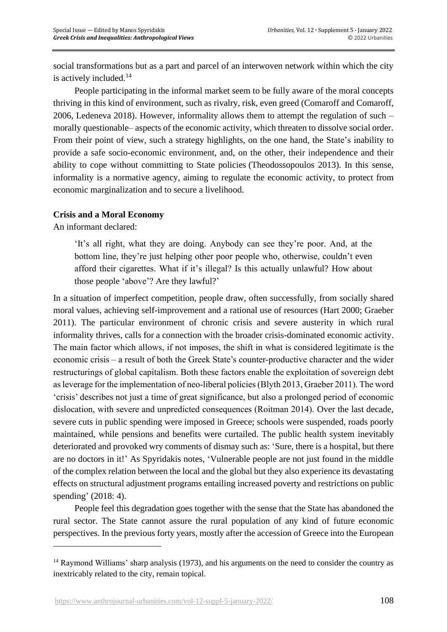social transformations but as a part and parcel of an interwoven network within which the city is actively included. 14

People participating in the informal market seem to be fully aware of the moral concepts thriving in this kind of environment, such as rivalry, risk, even greed (Comaroff and Comaroff, 2006, Ledeneva 2018). However, informality allows them to attempt the regulation of such – morally questionable– aspects of the economic activity, which threaten to dissolve social order. From their point of view, such a strategy highlights, on the one hand, the State's inability to provide a safe socio-economic environment, and, on the other, their independence and their ability to cope without committing to State policies (Theodossopoulos 2013). In this sense, informality is a normative agency, aiming to regulate the economic activity, to protect from economic marginalization and to secure a livelihood.

## **Crisis and a Moral Economy**

An informant declared:

'It's all right, what they are doing. Anybody can see they're poor. And, at the bottom line, they're just helping other poor people who, otherwise, couldn't even afford their cigarettes. What if it's illegal? Is this actually unlawful? How about those people 'above'? Are they lawful?'

In a situation of imperfect competition, people draw, often successfully, from socially shared moral values, achieving self-improvement and a rational use of resources (Hart 2000; Graeber 2011). The particular environment of chronic crisis and severe austerity in which rural informality thrives, calls for a connection with the broader crisis-dominated economic activity. The main factor which allows, if not imposes, the shift in what is considered legitimate is the economic crisis – a result of both the Greek State's counter-productive character and the wider restructurings of global capitalism. Both these factors enable the exploitation of sovereign debt as leverage for the implementation of neo-liberal policies (Blyth 2013, Graeber 2011). The word 'crisis' describes not just a time of great significance, but also a prolonged period of economic dislocation, with severe and unpredicted consequences (Roitman 2014). Over the last decade, severe cuts in public spending were imposed in Greece; schools were suspended, roads poorly maintained, while pensions and benefits were curtailed. The public health system inevitably deteriorated and provoked wry comments of dismay such as: 'Sure, there is a hospital, but there are no doctors in it!' As Spyridakis notes, 'Vulnerable people are not just found in the middle of the complex relation between the local and the global but they also experience its devastating effects on structural adjustment programs entailing increased poverty and restrictions on public spending' (2018: 4).

People feel this degradation goes together with the sense that the State has abandoned the rural sector. The State cannot assure the rural population of any kind of future economic perspectives. In the previous forty years, mostly after the accession of Greece into the European

<sup>&</sup>lt;sup>14</sup> Raymond Williams' sharp analysis (1973), and his arguments on the need to consider the country as inextricably related to the city, remain topical.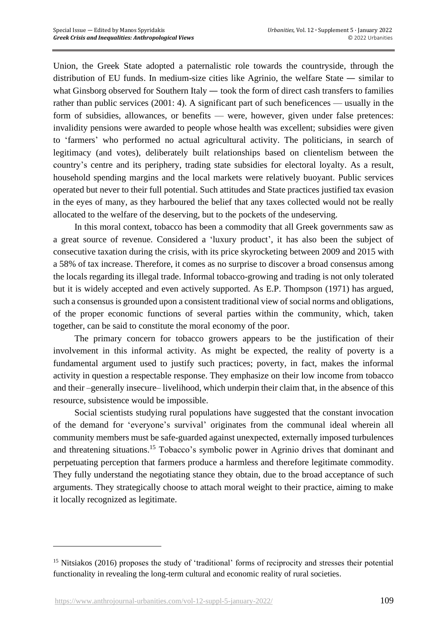Union, the Greek State adopted a paternalistic role towards the countryside, through the distribution of EU funds. In medium-size cities like Agrinio, the welfare State — similar to what Ginsborg observed for Southern Italy — took the form of direct cash transfers to families rather than public services (2001: 4). A significant part of such beneficences — usually in the form of subsidies, allowances, or benefits — were, however, given under false pretences: invalidity pensions were awarded to people whose health was excellent; subsidies were given to 'farmers' who performed no actual agricultural activity. The politicians, in search of legitimacy (and votes), deliberately built relationships based on clientelism between the country's centre and its periphery, trading state subsidies for electoral loyalty. As a result, household spending margins and the local markets were relatively buoyant. Public services operated but never to their full potential. Such attitudes and State practices justified tax evasion in the eyes of many, as they harboured the belief that any taxes collected would not be really allocated to the welfare of the deserving, but to the pockets of the undeserving.

In this moral context, tobacco has been a commodity that all Greek governments saw as a great source of revenue. Considered a 'luxury product', it has also been the subject of consecutive taxation during the crisis, with its price skyrocketing between 2009 and 2015 with a 58% of tax increase. Therefore, it comes as no surprise to discover a broad consensus among the locals regarding its illegal trade. Informal tobacco-growing and trading is not only tolerated but it is widely accepted and even actively supported. As E.P. Thompson (1971) has argued, such a consensus is grounded upon a consistent traditional view of social norms and obligations, of the proper economic functions of several parties within the community, which, taken together, can be said to constitute the moral economy of the poor.

The primary concern for tobacco growers appears to be the justification of their involvement in this informal activity. As might be expected, the reality of poverty is a fundamental argument used to justify such practices; poverty, in fact, makes the informal activity in question a respectable response. They emphasize on their low income from tobacco and their –generally insecure– livelihood, which underpin their claim that, in the absence of this resource, subsistence would be impossible.

Social scientists studying rural populations have suggested that the constant invocation of the demand for 'everyone's survival' originates from the communal ideal wherein all community members must be safe-guarded against unexpected, externally imposed turbulences and threatening situations. <sup>15</sup> Tobacco's symbolic power in Agrinio drives that dominant and perpetuating perception that farmers produce a harmless and therefore legitimate commodity. They fully understand the negotiating stance they obtain, due to the broad acceptance of such arguments. They strategically choose to attach moral weight to their practice, aiming to make it locally recognized as legitimate.

<sup>&</sup>lt;sup>15</sup> Nitsiakos (2016) proposes the study of 'traditional' forms of reciprocity and stresses their potential functionality in revealing the long-term cultural and economic reality of rural societies.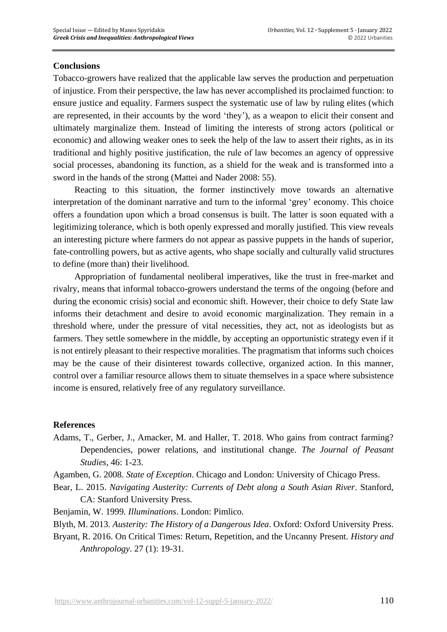#### **Conclusions**

Tobacco-growers have realized that the applicable law serves the production and perpetuation of injustice. From their perspective, the law has never accomplished its proclaimed function: to ensure justice and equality. Farmers suspect the systematic use of law by ruling elites (which are represented, in their accounts by the word 'they'), as a weapon to elicit their consent and ultimately marginalize them. Instead of limiting the interests of strong actors (political or economic) and allowing weaker ones to seek the help of the law to assert their rights, as in its traditional and highly positive justification, the rule of law becomes an agency of oppressive social processes, abandoning its function, as a shield for the weak and is transformed into a sword in the hands of the strong (Mattei and Nader 2008: 55).

Reacting to this situation, the former instinctively move towards an alternative interpretation of the dominant narrative and turn to the informal 'grey' economy. This choice offers a foundation upon which a broad consensus is built. The latter is soon equated with a legitimizing tolerance, which is both openly expressed and morally justified. This view reveals an interesting picture where farmers do not appear as passive puppets in the hands of superior, fate-controlling powers, but as active agents, who shape socially and culturally valid structures to define (more than) their livelihood.

Appropriation of fundamental neoliberal imperatives, like the trust in free-market and rivalry, means that informal tobacco-growers understand the terms of the ongoing (before and during the economic crisis) social and economic shift. However, their choice to defy State law informs their detachment and desire to avoid economic marginalization. They remain in a threshold where, under the pressure of vital necessities, they act, not as ideologists but as farmers. They settle somewhere in the middle, by accepting an opportunistic strategy even if it is not entirely pleasant to their respective moralities. The pragmatism that informs such choices may be the cause of their disinterest towards collective, organized action. In this manner, control over a familiar resource allows them to situate themselves in a space where subsistence income is ensured, relatively free of any regulatory surveillance.

#### **References**

Adams, T., Gerber, J., Amacker, M. and Haller, T. 2018. Who gains from contract farming? Dependencies, power relations, and institutional change. *The Journal of Peasant Studies*, 46: 1-23.

Agamben, G. 2008. *State of Exception*. Chicago and London: University of Chicago Press.

- Bear, L. 2015. *Navigating Austerity: Currents of Debt along a South Asian River*. Stanford, CA: Stanford University Press.
- Benjamin, W. 1999*. Illuminations*. London: Pimlico.

Blyth, M. 2013. *Austerity: The History of a Dangerous Idea*. Oxford: Oxford University Press.

Bryant, R. 2016. On Critical Times: Return, Repetition, and the Uncanny Present. *History and Anthropology*. 27 (1): 19-31.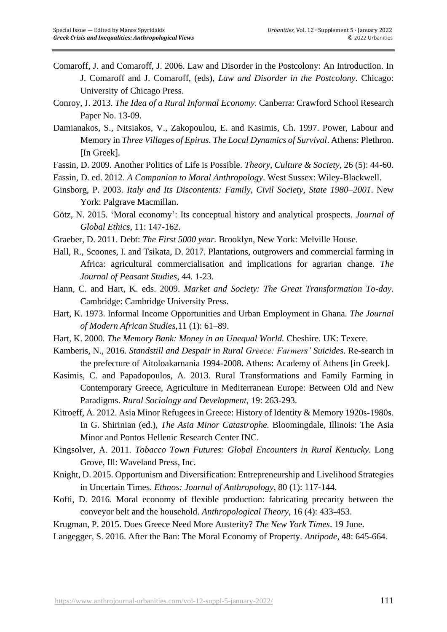- Comaroff, J. and Comaroff, J. 2006. Law and Disorder in the Postcolony: An Introduction. In J. Comaroff and J. Comaroff, (eds), *Law and Disorder in the Postcolony*. Chicago: University of Chicago Press.
- Conroy, J. 2013. *The Idea of a Rural Informal Economy*. Canberra: Crawford School Research Paper No. 13-09.
- Damianakos, S., Nitsiakos, V., Zakopoulou, E. and Kasimis, Ch. 1997. Power, Labour and Memory in *Three Villages of Epirus. The Local Dynamics of Survival*. Athens: Plethron. [In Greek].
- Fassin, D. 2009. Another Politics of Life is Possible. *Theory, Culture & Society,* 26 (5): 44-60.
- Fassin, D. ed. 2012. *A Companion to Moral Anthropology*. West Sussex: Wiley-Blackwell.
- Ginsborg, P. 2003. *Italy and Its Discontents: Family, Civil Society, State 1980–2001*. New York: Palgrave Macmillan.
- Götz, N. 2015. 'Moral economy': Its conceptual history and analytical prospects. *Journal of Global Ethics*, 11: 147-162.
- Graeber, D. 2011. Debt: *The First 5000 year.* Brooklyn, New York: Melville House.
- Hall, R., Scoones, I. and Tsikata, D. 2017. Plantations, outgrowers and commercial farming in Africa: agricultural commercialisation and implications for agrarian change. *The Journal of Peasant Studies*, 44. 1-23.

Hann, C. and Hart, K. eds. 2009. *Market and Society: The Great Transformation To-day*. Cambridge: Cambridge University Press.

- Hart, K. 1973. Informal Income Opportunities and Urban Employment in Ghana. *The Journal of Modern African Studies*,11 (1): 61–89.
- Hart, K. 2000. *The Memory Bank: Money in an Unequal World.* Cheshire. UK: Texere.
- Kamberis, N., 2016. *Standstill and Despair in Rural Greece: Farmers' Suicides*. Re-search in the prefecture of Aitoloakarnania 1994-2008. Athens: Academy of Athens [in Greek].
- Kasimis, C. and Papadopoulos, A. 2013. Rural Transformations and Family Farming in Contemporary Greece, Agriculture in Mediterranean Europe: Between Old and New Paradigms. *Rural Sociology and Development*, 19: 263-293.
- Kitroeff, A. 2012. Asia Minor Refugees in Greece: History of Identity & Memory 1920s-1980s. In G. Shirinian (ed.), *The Asia Minor Catastrophe.* Bloomingdale, Illinois: The Asia Minor and Pontos Hellenic Research Center INC.
- Kingsolver, A. 2011. *Tobacco Town Futures: Global Encounters in Rural Kentucky.* Long Grove, Ill: Waveland Press, Inc.
- Knight, D. 2015. Opportunism and Diversification: Entrepreneurship and Livelihood Strategies in Uncertain Times. *Ethnos: Journal of Anthropology,* 80 (1): 117-144.
- Kofti, D. 2016. Moral economy of flexible production: fabricating precarity between the conveyor belt and the household. *Anthropological Theory,* 16 (4): 433-453.
- Krugman, P. 2015. Does Greece Need More Austerity? *The New York Times*. 19 June.
- Langegger, S. 2016. After the Ban: The Moral Economy of Property. *Antipode,* 48: 645-664.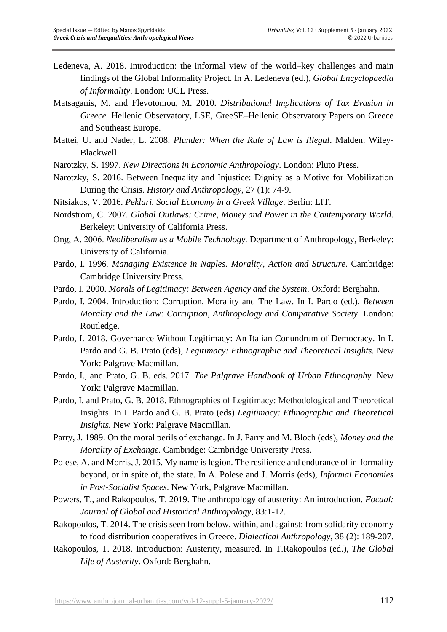- Ledeneva, A. 2018. Introduction: the informal view of the world–key challenges and main findings of the Global Informality Project. In A. Ledeneva (ed.), *Global Encyclopaedia of Informality*. London: UCL Press.
- Matsaganis, M. and Flevotomou, M. 2010. *Distributional Implications of Tax Evasion in Greece.* Hellenic Observatory, LSE, GreeSE–Hellenic Observatory Papers on Greece and Southeast Europe.
- Mattei, U. and Nader, L. 2008. *Plunder: When the Rule of Law is Illegal*. Malden: Wiley-Blackwell.
- Narotzky, S. 1997. *New Directions in Economic Anthropology*. London: Pluto Press.
- Narotzky, S. 2016. Between Inequality and Injustice: Dignity as a Motive for Mobilization During the Crisis. *History and Anthropology*, 27 (1): 74-9.
- Nitsiakos, V. 2016. *Peklari. Social Economy in a Greek Village*. Berlin: LIT.
- Nordstrom, C. 2007*. Global Outlaws: Crime, Money and Power in the Contemporary World*. Berkeley: University of California Press.
- Ong, Α. 2006. *Neoliberalism as a Mobile Technology.* Department of Anthropology, Berkeley: University of California.
- Pardo, I. 1996*. Managing Existence in Naples. Morality, Action and Structure*. Cambridge: Cambridge University Press.
- Pardo, I. 2000. *Morals of Legitimacy: Between Agency and the System*. Oxford: Berghahn.
- Pardo, I. 2004. Introduction: Corruption, Morality and The Law. In I. Pardo (ed.), *Between Morality and the Law: Corruption, Anthropology and Comparative Society*. London: Routledge.
- Pardo, I. 2018. Governance Without Legitimacy: An Italian Conundrum of Democracy. In I. Pardo and G. B. Prato (eds), *Legitimacy: Ethnographic and Theoretical Insights.* New York: Palgrave Macmillan.
- Pardo, I., and Prato, G. B. eds. 2017. *The Palgrave Handbook of Urban Ethnography.* New York: Palgrave Macmillan.
- Pardo, I. and Prato, G. B. 2018. Ethnographies of Legitimacy: Methodological and Theoretical Insights. In I. Pardo and G. B. Prato (eds) *Legitimacy: Ethnographic and Theoretical Insights.* New York: Palgrave Macmillan.
- Parry, J. 1989. On the moral perils of exchange. In J. Parry and M. Bloch (eds), *Money and the Morality of Exchange.* Cambridge: Cambridge University Press.
- Polese, A. and Morris, J. 2015. My name is legion. The resilience and endurance of in-formality beyond, or in spite of, the state. In A. Polese and J. Morris (eds), *Informal Economies in Post-Socialist Spaces*. New York, Palgrave Macmillan.
- Powers, T., and Rakopoulos, T. 2019. The anthropology of austerity: An introduction. *Focaal: Journal of Global and Historical Anthropology,* 83:1-12.
- Rakopoulos, T. 2014. The crisis seen from below, within, and against: from solidarity economy to food distribution cooperatives in Greece. *Dialectical Anthropology,* 38 (2): 189-207.
- Rakopoulos, T. 2018. Introduction: Austerity, measured. In T.Rakopoulos (ed.), *The Global Life of Austerity*. Oxford: Berghahn.